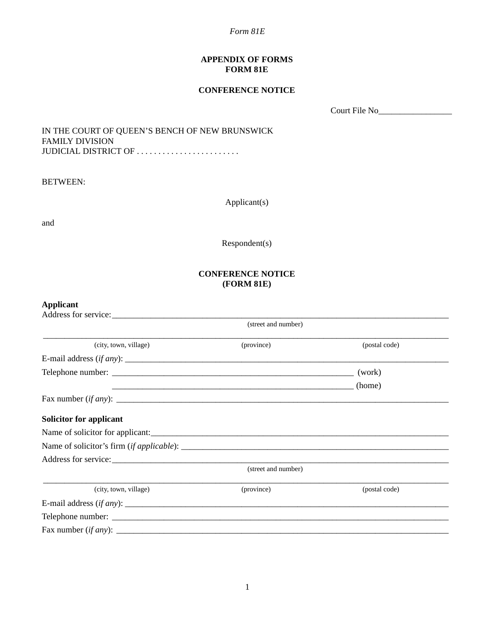*Form 81E*

## **APPENDIX OF FORMS FORM 81E**

## **CONFERENCE NOTICE**

Court File No\_\_\_\_\_\_\_\_\_\_\_\_\_\_\_\_\_

IN THE COURT OF QUEEN'S BENCH OF NEW BRUNSWICK FAMILY DIVISION JUDICIAL DISTRICT OF . . . . . . . . . . . . . . . . . . . . . . . .

BETWEEN:

Applicant(s)

and

Respondent(s)

## **CONFERENCE NOTICE (FORM 81E)**

| <b>Applicant</b><br>Address for service: |                     |               |  |
|------------------------------------------|---------------------|---------------|--|
|                                          | (street and number) |               |  |
| (city, town, village)                    | (province)          | (postal code) |  |
|                                          |                     |               |  |
|                                          |                     | (work)        |  |
|                                          |                     | (home)        |  |
|                                          |                     |               |  |
| <b>Solicitor for applicant</b>           |                     |               |  |
| Name of solicitor for applicant:         |                     |               |  |
|                                          |                     |               |  |
|                                          |                     |               |  |
|                                          | (street and number) |               |  |
| (city, town, village)                    | (province)          | (postal code) |  |
|                                          |                     |               |  |
|                                          |                     |               |  |
|                                          |                     |               |  |